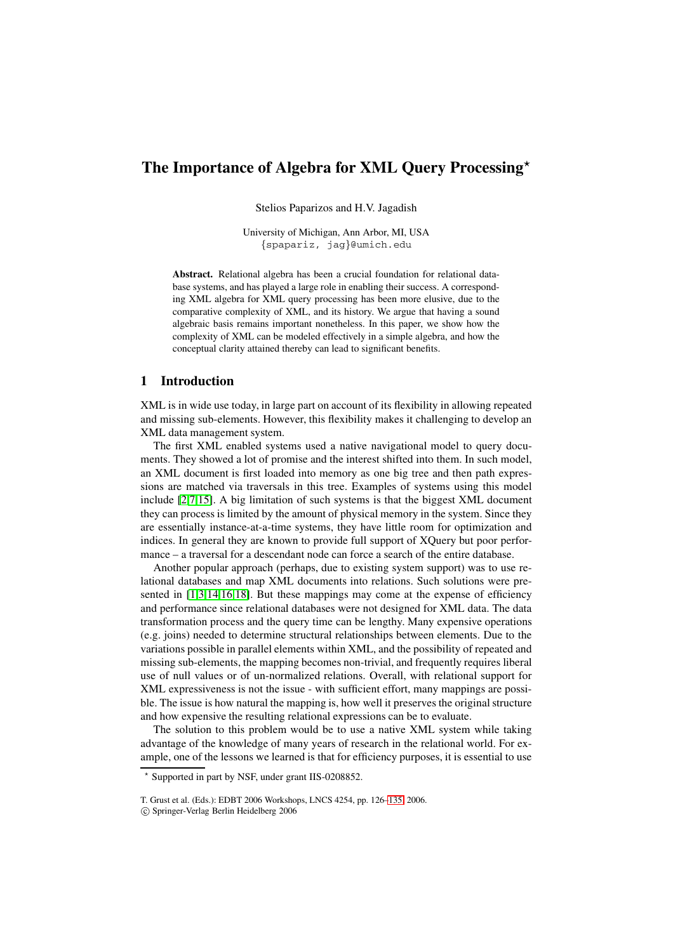# **The Importance of Algebra for XML Query Processing***-*

Stelios Paparizos and H.V. Jagadish

University of Michigan, Ann Arbor, MI, USA {spapariz, jag}@umich.edu

**Abstract.** Relational algebra has been a crucial foundation for relational database systems, and has played a large role in enabling their success. A corresponding XML algebra for XML query processing has been more elusive, due to the comparative complexity of XML, and its history. We argue that having a sound algebraic basis remains important nonetheless. In this paper, we show how the complexity of XML can be modeled effectively in a simple algebra, and how the conceptual clarity attained thereby can lead to significant benefits.

# **1 Introduction**

XML is in wide use today, in large part on account of its flexibility in allowing repeated and missing sub-elements. However, this flexibility makes it challenging to develop an XML data management system.

The first XML enabled systems used a native navigational model to query documents. They showed a lot of promise and the interest shifted into them. In such model, an XML document is first loaded into memory as one big tree and then path expressions are matched via traversals in this tree. Examples of systems using this model include [\[2,](#page-9-0)[7,](#page-9-1)[15\]](#page-9-2). A big limitation of such systems is that the biggest XML document they can process is limited by the amount of physical memory in the system. Since they are essentially instance-at-a-time systems, they have little room for optimization and indices. In general they are known to provide full support of XQuery but poor performance – a traversal for a descendant node can force a search of the entire database.

Another popular approach (perhaps, due to existing system support) was to use relational databases and map XML documents into relations. Such solutions were presented in  $[1,3,14,16,18]$  $[1,3,14,16,18]$  $[1,3,14,16,18]$  $[1,3,14,16,18]$  $[1,3,14,16,18]$ . But these mappings may come at the expense of efficiency and performance since relational databases were not designed for XML data. The data transformation process and the query time can be lengthy. Many expensive operations (e.g. joins) needed to determine structural relationships between elements. Due to the variations possible in parallel elements within XML, and the possibility of repeated and missing sub-elements, the mapping becomes non-trivial, and frequently requires liberal use of null values or of un-normalized relations. Overall, with relational support for XML expressiveness is not the issue - with sufficient effort, many mappings are possible. The issue is how natural the mapping is, how well it preserves the original structure and how expensive the resulting relational expressions can be to evaluate.

The solution to this problem would be to use a native XML system while taking advantage of the knowledge of many years of research in the relational world. For example, one of the lessons we learned is that for efficiency purposes, it is essential to use

<sup>-</sup> Supported in part by NSF, under grant IIS-0208852.

T. Grust et al. (Eds.): EDBT 2006 Workshops, LNCS 4254, pp. 126[–135,](#page-9-8) 2006.

<sup>-</sup>c Springer-Verlag Berlin Heidelberg 2006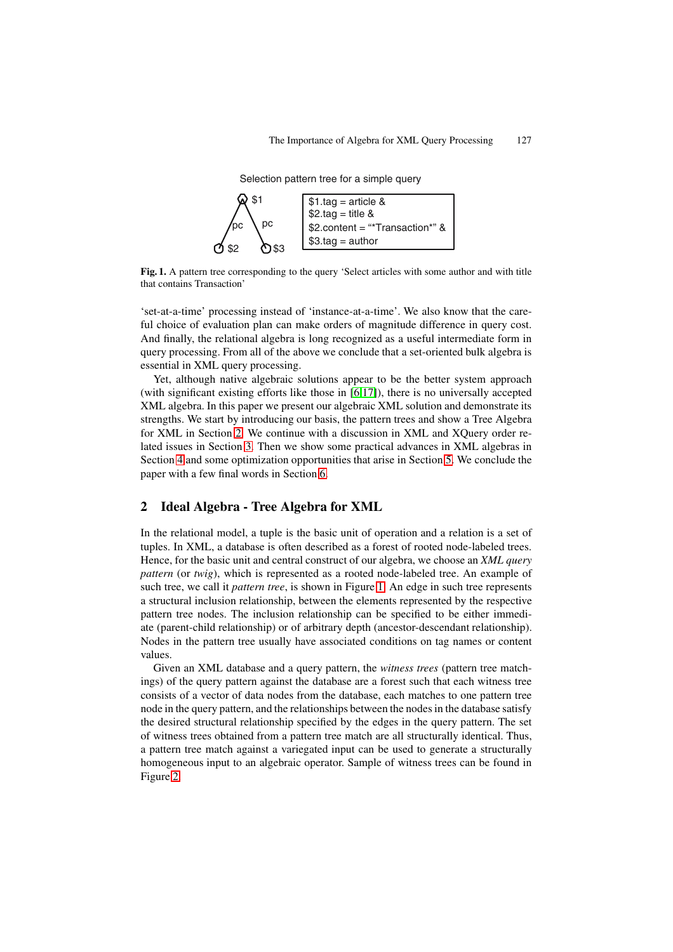Selection pattern tree for a simple query



<span id="page-1-1"></span>**Fig. 1.** A pattern tree corresponding to the query 'Select articles with some author and with title that contains Transaction'

'set-at-a-time' processing instead of 'instance-at-a-time'. We also know that the careful choice of evaluation plan can make orders of magnitude difference in query cost. And finally, the relational algebra is long recognized as a useful intermediate form in query processing. From all of the above we conclude that a set-oriented bulk algebra is essential in XML query processing.

Yet, although native algebraic solutions appear to be the better system approach (with significant existing efforts like those in [\[6](#page-9-9)[,17\]](#page-9-10)), there is no universally accepted XML algebra. In this paper we present our algebraic XML solution and demonstrate its strengths. We start by introducing our basis, the pattern trees and show a Tree Algebra for XML in Section [2.](#page-1-0) We continue with a discussion in XML and XQuery order related issues in Section [3.](#page-2-0) Then we show some practical advances in XML algebras in Section [4](#page-4-0) and some optimization opportunities that arise in Section [5.](#page-6-0) We conclude the paper with a few final words in Section [6.](#page-8-0)

### <span id="page-1-0"></span>**2 Ideal Algebra - Tree Algebra for XML**

In the relational model, a tuple is the basic unit of operation and a relation is a set of tuples. In XML, a database is often described as a forest of rooted node-labeled trees. Hence, for the basic unit and central construct of our algebra, we choose an *XML query pattern* (or *twig*), which is represented as a rooted node-labeled tree. An example of such tree, we call it *pattern tree*, is shown in Figure [1.](#page-1-1) An edge in such tree represents a structural inclusion relationship, between the elements represented by the respective pattern tree nodes. The inclusion relationship can be specified to be either immediate (parent-child relationship) or of arbitrary depth (ancestor-descendant relationship). Nodes in the pattern tree usually have associated conditions on tag names or content values.

Given an XML database and a query pattern, the *witness trees* (pattern tree matchings) of the query pattern against the database are a forest such that each witness tree consists of a vector of data nodes from the database, each matches to one pattern tree node in the query pattern, and the relationships between the nodes in the database satisfy the desired structural relationship specified by the edges in the query pattern. The set of witness trees obtained from a pattern tree match are all structurally identical. Thus, a pattern tree match against a variegated input can be used to generate a structurally homogeneous input to an algebraic operator. Sample of witness trees can be found in Figure [2.](#page-2-1)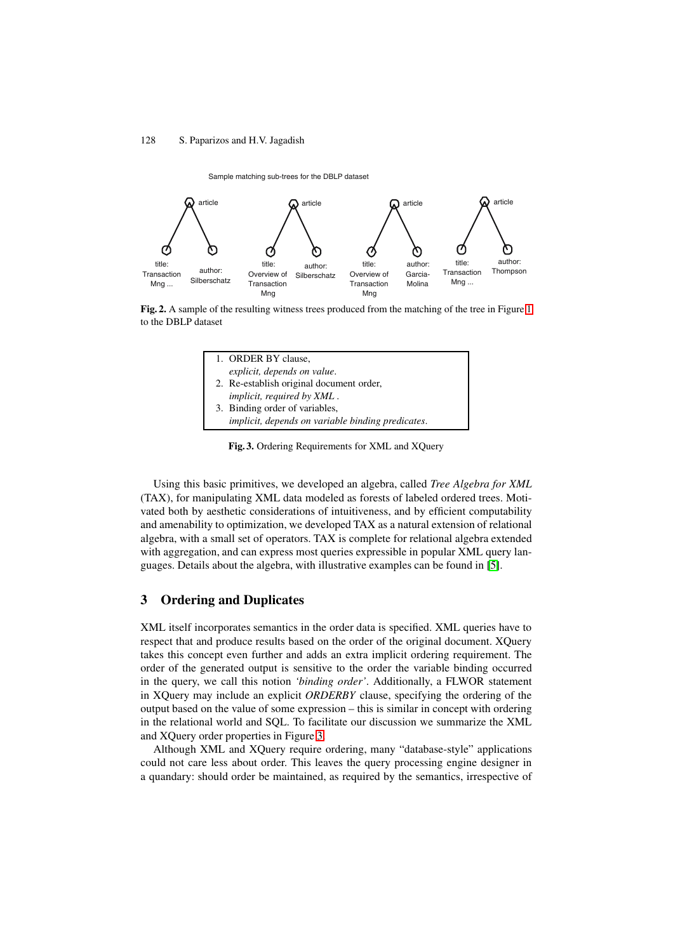Sample matching sub-trees for the DBLP dataset



<span id="page-2-1"></span>**Fig. 2.** A sample of the resulting witness trees produced from the matching of the tree in Figure [1](#page-1-1) to the DBLP dataset

|  | 1. ORDER BY clause,                               |
|--|---------------------------------------------------|
|  | explicit, depends on value.                       |
|  | 2. Re-establish original document order,          |
|  | <i>implicit, required by XML.</i>                 |
|  | 3. Binding order of variables,                    |
|  | implicit, depends on variable binding predicates. |
|  |                                                   |

**Fig. 3.** Ordering Requirements for XML and XQuery

<span id="page-2-2"></span>Using this basic primitives, we developed an algebra, called *Tree Algebra for XML* (TAX), for manipulating XML data modeled as forests of labeled ordered trees. Motivated both by aesthetic considerations of intuitiveness, and by efficient computability and amenability to optimization, we developed TAX as a natural extension of relational algebra, with a small set of operators. TAX is complete for relational algebra extended with aggregation, and can express most queries expressible in popular XML query languages. Details about the algebra, with illustrative examples can be found in [\[5\]](#page-9-11).

# <span id="page-2-0"></span>**3 Ordering and Duplicates**

XML itself incorporates semantics in the order data is specified. XML queries have to respect that and produce results based on the order of the original document. XQuery takes this concept even further and adds an extra implicit ordering requirement. The order of the generated output is sensitive to the order the variable binding occurred in the query, we call this notion *'binding order'*. Additionally, a FLWOR statement in XQuery may include an explicit *ORDERBY* clause, specifying the ordering of the output based on the value of some expression – this is similar in concept with ordering in the relational world and SQL. To facilitate our discussion we summarize the XML and XQuery order properties in Figure [3.](#page-2-2)

Although XML and XQuery require ordering, many "database-style" applications could not care less about order. This leaves the query processing engine designer in a quandary: should order be maintained, as required by the semantics, irrespective of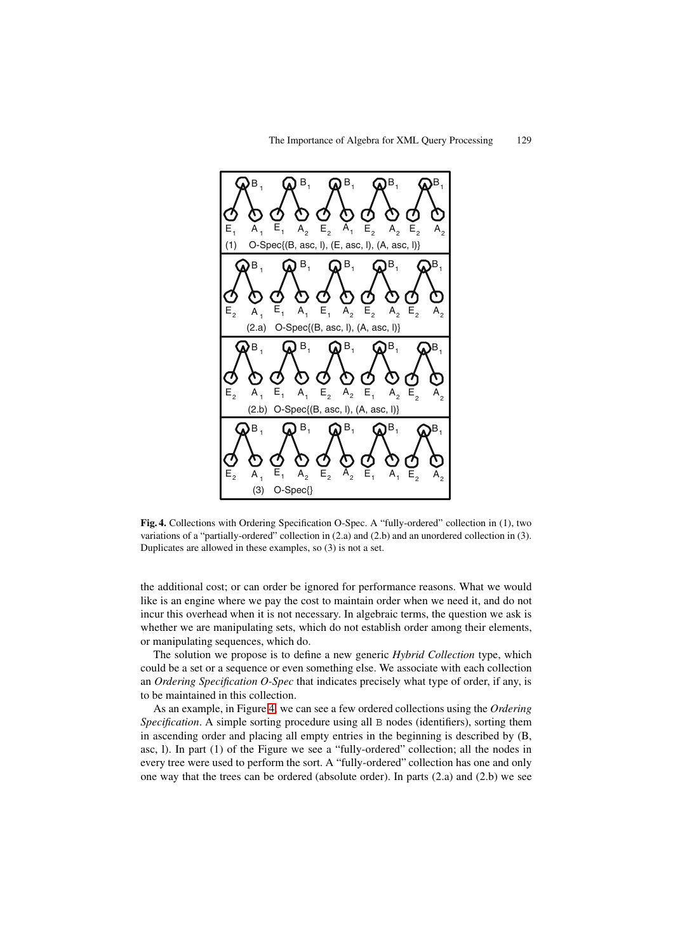

<span id="page-3-0"></span>**Fig. 4.** Collections with Ordering Specification O-Spec. A "fully-ordered" collection in (1), two variations of a "partially-ordered" collection in (2.a) and (2.b) and an unordered collection in (3). Duplicates are allowed in these examples, so (3) is not a set.

the additional cost; or can order be ignored for performance reasons. What we would like is an engine where we pay the cost to maintain order when we need it, and do not incur this overhead when it is not necessary. In algebraic terms, the question we ask is whether we are manipulating sets, which do not establish order among their elements, or manipulating sequences, which do.

The solution we propose is to define a new generic *Hybrid Collection* type, which could be a set or a sequence or even something else. We associate with each collection an *Ordering Specification O-Spec* that indicates precisely what type of order, if any, is to be maintained in this collection.

As an example, in Figure [4,](#page-3-0) we can see a few ordered collections using the *Ordering Specification*. A simple sorting procedure using all B nodes (identifiers), sorting them in ascending order and placing all empty entries in the beginning is described by (B, asc, l). In part (1) of the Figure we see a "fully-ordered" collection; all the nodes in every tree were used to perform the sort. A "fully-ordered" collection has one and only one way that the trees can be ordered (absolute order). In parts (2.a) and (2.b) we see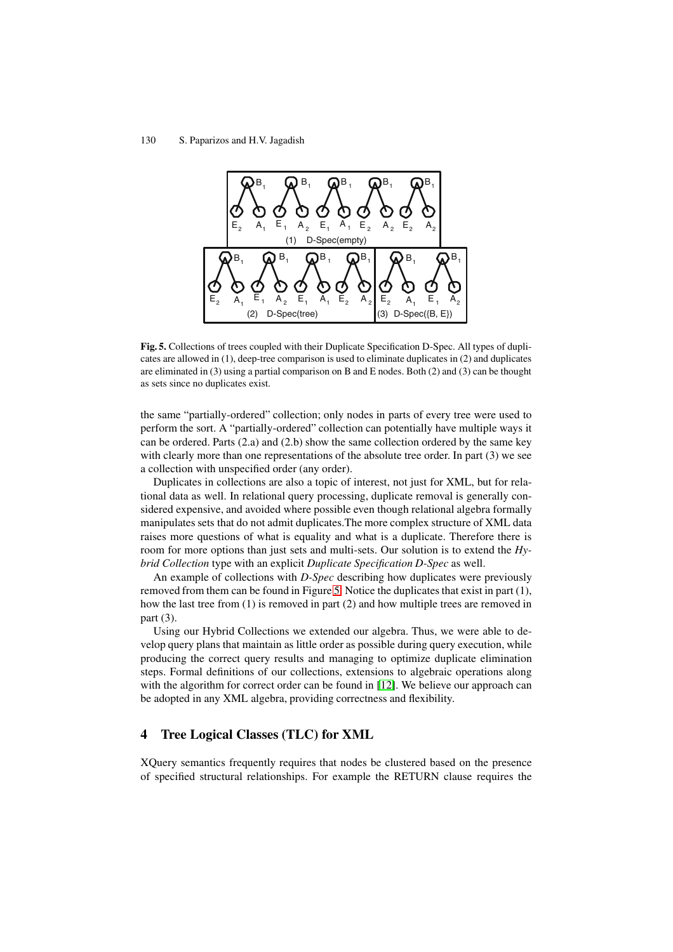

<span id="page-4-1"></span>**Fig. 5.** Collections of trees coupled with their Duplicate Specification D-Spec. All types of duplicates are allowed in (1), deep-tree comparison is used to eliminate duplicates in (2) and duplicates are eliminated in (3) using a partial comparison on B and E nodes. Both (2) and (3) can be thought as sets since no duplicates exist.

the same "partially-ordered" collection; only nodes in parts of every tree were used to perform the sort. A "partially-ordered" collection can potentially have multiple ways it can be ordered. Parts (2.a) and (2.b) show the same collection ordered by the same key with clearly more than one representations of the absolute tree order. In part (3) we see a collection with unspecified order (any order).

Duplicates in collections are also a topic of interest, not just for XML, but for relational data as well. In relational query processing, duplicate removal is generally considered expensive, and avoided where possible even though relational algebra formally manipulates sets that do not admit duplicates.The more complex structure of XML data raises more questions of what is equality and what is a duplicate. Therefore there is room for more options than just sets and multi-sets. Our solution is to extend the *Hybrid Collection* type with an explicit *Duplicate Specification D-Spec* as well.

An example of collections with *D-Spec* describing how duplicates were previously removed from them can be found in Figure [5.](#page-4-1) Notice the duplicates that exist in part (1), how the last tree from (1) is removed in part (2) and how multiple trees are removed in part (3).

Using our Hybrid Collections we extended our algebra. Thus, we were able to develop query plans that maintain as little order as possible during query execution, while producing the correct query results and managing to optimize duplicate elimination steps. Formal definitions of our collections, extensions to algebraic operations along with the algorithm for correct order can be found in [\[12\]](#page-9-12). We believe our approach can be adopted in any XML algebra, providing correctness and flexibility.

# <span id="page-4-0"></span>**4 Tree Logical Classes (TLC) for XML**

XQuery semantics frequently requires that nodes be clustered based on the presence of specified structural relationships. For example the RETURN clause requires the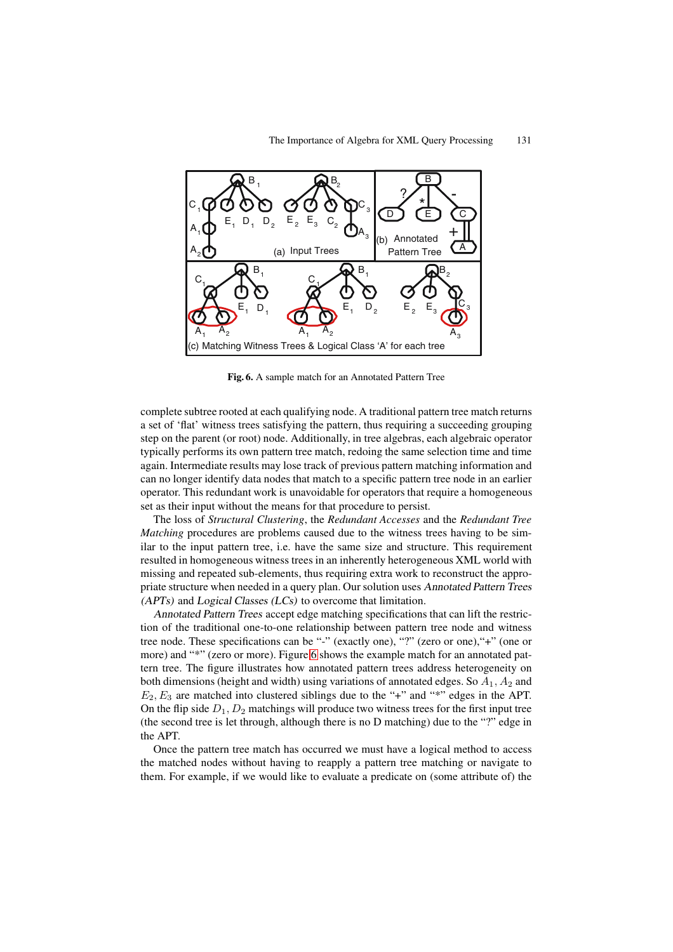

**Fig. 6.** A sample match for an Annotated Pattern Tree

<span id="page-5-0"></span>complete subtree rooted at each qualifying node. A traditional pattern tree match returns a set of 'flat' witness trees satisfying the pattern, thus requiring a succeeding grouping step on the parent (or root) node. Additionally, in tree algebras, each algebraic operator typically performs its own pattern tree match, redoing the same selection time and time again. Intermediate results may lose track of previous pattern matching information and can no longer identify data nodes that match to a specific pattern tree node in an earlier operator. This redundant work is unavoidable for operators that require a homogeneous set as their input without the means for that procedure to persist.

The loss of *Structural Clustering*, the *Redundant Accesses* and the *Redundant Tree Matching* procedures are problems caused due to the witness trees having to be similar to the input pattern tree, i.e. have the same size and structure. This requirement resulted in homogeneous witness trees in an inherently heterogeneous XML world with missing and repeated sub-elements, thus requiring extra work to reconstruct the appropriate structure when needed in a query plan. Our solution uses Annotated Pattern Trees (APTs) and Logical Classes (LCs) to overcome that limitation.

Annotated Pattern Trees accept edge matching specifications that can lift the restriction of the traditional one-to-one relationship between pattern tree node and witness tree node. These specifications can be "-" (exactly one), "?" (zero or one),"+" (one or more) and "\*" (zero or more). Figure [6](#page-5-0) shows the example match for an annotated pattern tree. The figure illustrates how annotated pattern trees address heterogeneity on both dimensions (height and width) using variations of annotated edges. So  $A_1$ ,  $A_2$  and  $E_2, E_3$  are matched into clustered siblings due to the "+" and "\*" edges in the APT. On the flip side  $D_1, D_2$  matchings will produce two witness trees for the first input tree (the second tree is let through, although there is no D matching) due to the "?" edge in the APT.

Once the pattern tree match has occurred we must have a logical method to access the matched nodes without having to reapply a pattern tree matching or navigate to them. For example, if we would like to evaluate a predicate on (some attribute of) the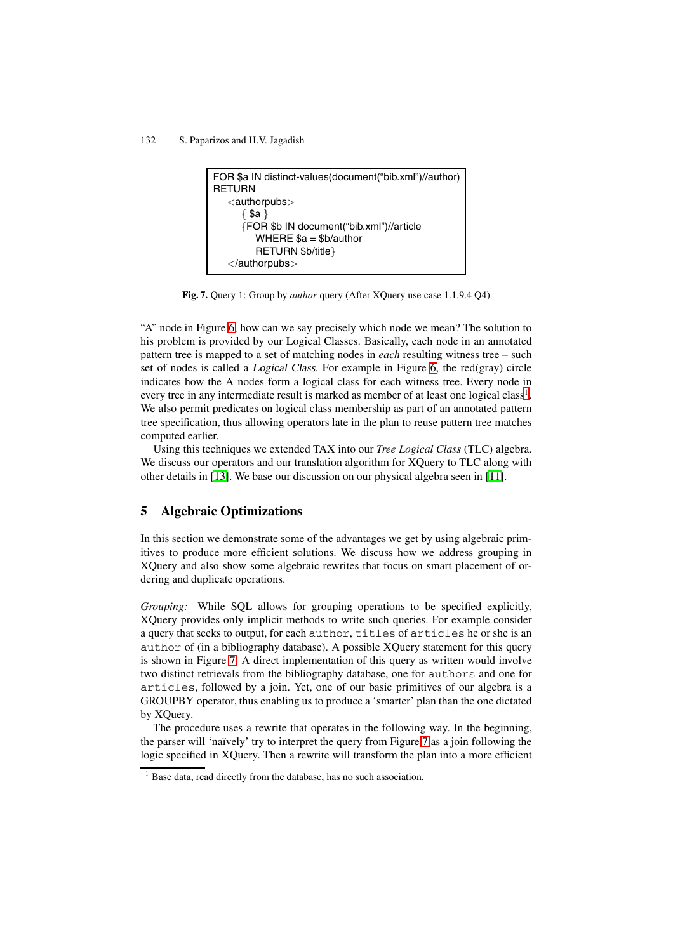

**Fig. 7.** Query 1: Group by *author* query (After XQuery use case 1.1.9.4 Q4)

<span id="page-6-2"></span>"A" node in Figure [6,](#page-5-0) how can we say precisely which node we mean? The solution to his problem is provided by our Logical Classes. Basically, each node in an annotated pattern tree is mapped to a set of matching nodes in *each* resulting witness tree – such set of nodes is called a Logical Class. For example in Figure [6,](#page-5-0) the red(gray) circle indicates how the A nodes form a logical class for each witness tree. Every node in every tree in any intermediate result is marked as member of at least one logical class<sup>1</sup>. We also permit predicates on logical class membership as part of an annotated pattern tree specification, thus allowing operators late in the plan to reuse pattern tree matches computed earlier.

Using this techniques we extended TAX into our *Tree Logical Class* (TLC) algebra. We discuss our operators and our translation algorithm for XQuery to TLC along with other details in [\[13\]](#page-9-13). We base our discussion on our physical algebra seen in [\[11\]](#page-9-14).

### <span id="page-6-0"></span>**5 Algebraic Optimizations**

In this section we demonstrate some of the advantages we get by using algebraic primitives to produce more efficient solutions. We discuss how we address grouping in XQuery and also show some algebraic rewrites that focus on smart placement of ordering and duplicate operations.

*Grouping:* While SQL allows for grouping operations to be specified explicitly, XQuery provides only implicit methods to write such queries. For example consider a query that seeks to output, for each author, titles of articles he or she is an author of (in a bibliography database). A possible XQuery statement for this query is shown in Figure [7.](#page-6-2) A direct implementation of this query as written would involve two distinct retrievals from the bibliography database, one for authors and one for articles, followed by a join. Yet, one of our basic primitives of our algebra is a GROUPBY operator, thus enabling us to produce a 'smarter' plan than the one dictated by XQuery.

The procedure uses a rewrite that operates in the following way. In the beginning, the parser will 'naïvely' try to interpret the query from Figure [7](#page-6-2) as a join following the logic specified in XQuery. Then a rewrite will transform the plan into a more efficient

<span id="page-6-1"></span><sup>&</sup>lt;sup>1</sup> Base data, read directly from the database, has no such association.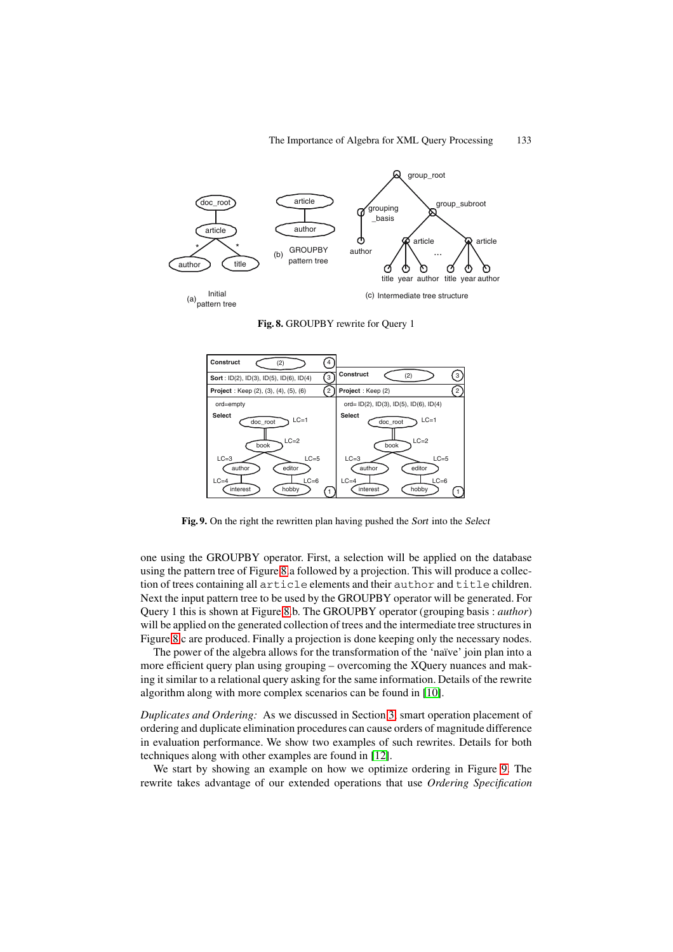

**Fig. 8.** GROUPBY rewrite for Query 1

<span id="page-7-0"></span>

Fig. 9. On the right the rewritten plan having pushed the Sort into the Select

<span id="page-7-1"></span>one using the GROUPBY operator. First, a selection will be applied on the database using the pattern tree of Figure [8.](#page-7-0)a followed by a projection. This will produce a collection of trees containing all article elements and their author and title children. Next the input pattern tree to be used by the GROUPBY operator will be generated. For Query 1 this is shown at Figure [8.](#page-7-0)b. The GROUPBY operator (grouping basis : *author*) will be applied on the generated collection of trees and the intermediate tree structures in Figure [8.](#page-7-0)c are produced. Finally a projection is done keeping only the necessary nodes.

The power of the algebra allows for the transformation of the 'naïve' join plan into a more efficient query plan using grouping – overcoming the XQuery nuances and making it similar to a relational query asking for the same information. Details of the rewrite algorithm along with more complex scenarios can be found in [\[10\]](#page-9-15).

*Duplicates and Ordering:* As we discussed in Section [3,](#page-2-0) smart operation placement of ordering and duplicate elimination procedures can cause orders of magnitude difference in evaluation performance. We show two examples of such rewrites. Details for both techniques along with other examples are found in [\[12\]](#page-9-12).

We start by showing an example on how we optimize ordering in Figure [9.](#page-7-1) The rewrite takes advantage of our extended operations that use *Ordering Specification*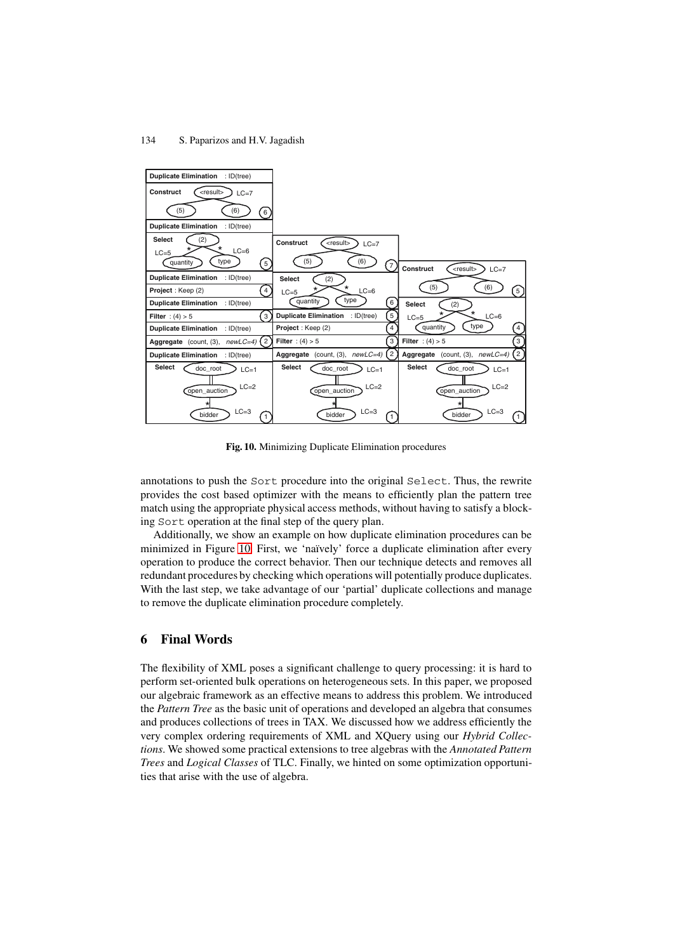

**Fig. 10.** Minimizing Duplicate Elimination procedures

<span id="page-8-1"></span>annotations to push the Sort procedure into the original Select. Thus, the rewrite provides the cost based optimizer with the means to efficiently plan the pattern tree match using the appropriate physical access methods, without having to satisfy a blocking Sort operation at the final step of the query plan.

Additionally, we show an example on how duplicate elimination procedures can be minimized in Figure [10.](#page-8-1) First, we 'naïvely' force a duplicate elimination after every operation to produce the correct behavior. Then our technique detects and removes all redundant procedures by checking which operations will potentially produce duplicates. With the last step, we take advantage of our 'partial' duplicate collections and manage to remove the duplicate elimination procedure completely.

# <span id="page-8-0"></span>**6 Final Words**

The flexibility of XML poses a significant challenge to query processing: it is hard to perform set-oriented bulk operations on heterogeneous sets. In this paper, we proposed our algebraic framework as an effective means to address this problem. We introduced the *Pattern Tree* as the basic unit of operations and developed an algebra that consumes and produces collections of trees in TAX. We discussed how we address efficiently the very complex ordering requirements of XML and XQuery using our *Hybrid Collections*. We showed some practical extensions to tree algebras with the *Annotated Pattern Trees* and *Logical Classes* of TLC. Finally, we hinted on some optimization opportunities that arise with the use of algebra.